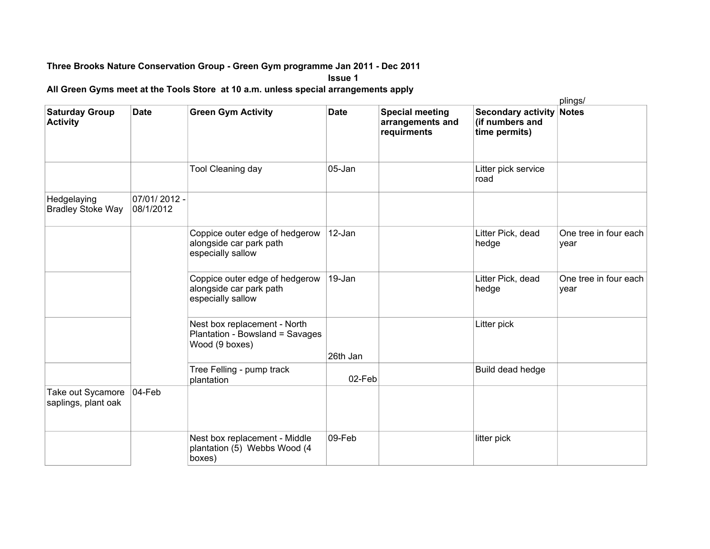## **Three Brooks Nature Conservation Group - Green Gym programme Jan 2011 - Dec 2011**

**Issue 1**

**All Green Gyms meet at the Tools Store at 10 a.m. unless special arrangements apply**

|                                          |                           |                                                                                   |             |                                                           |                                                               | plings/                       |
|------------------------------------------|---------------------------|-----------------------------------------------------------------------------------|-------------|-----------------------------------------------------------|---------------------------------------------------------------|-------------------------------|
| <b>Saturday Group</b><br><b>Activity</b> | <b>Date</b>               | <b>Green Gym Activity</b>                                                         | <b>Date</b> | <b>Special meeting</b><br>arrangements and<br>requirments | <b>Secondary activity</b><br>(if numbers and<br>time permits) | <b>Notes</b>                  |
|                                          |                           | <b>Tool Cleaning day</b>                                                          | 05-Jan      |                                                           | Litter pick service<br>road                                   |                               |
| Hedgelaying<br><b>Bradley Stoke Way</b>  | 07/01/2012 -<br>08/1/2012 |                                                                                   |             |                                                           |                                                               |                               |
|                                          |                           | Coppice outer edge of hedgerow<br>alongside car park path<br>especially sallow    | 12-Jan      |                                                           | Litter Pick, dead<br>hedge                                    | One tree in four each<br>year |
|                                          |                           | Coppice outer edge of hedgerow<br>alongside car park path<br>especially sallow    | 19-Jan      |                                                           | Litter Pick, dead<br>hedge                                    | One tree in four each<br>year |
|                                          |                           | Nest box replacement - North<br>Plantation - Bowsland = Savages<br>Wood (9 boxes) | 26th Jan    |                                                           | Litter pick                                                   |                               |
|                                          |                           | Tree Felling - pump track<br>plantation                                           | 02-Feb      |                                                           | Build dead hedge                                              |                               |
| Take out Sycamore<br>saplings, plant oak | $04-Feb$                  |                                                                                   |             |                                                           |                                                               |                               |
|                                          |                           | Nest box replacement - Middle<br>plantation (5) Webbs Wood (4<br>boxes)           | 09-Feb      |                                                           | litter pick                                                   |                               |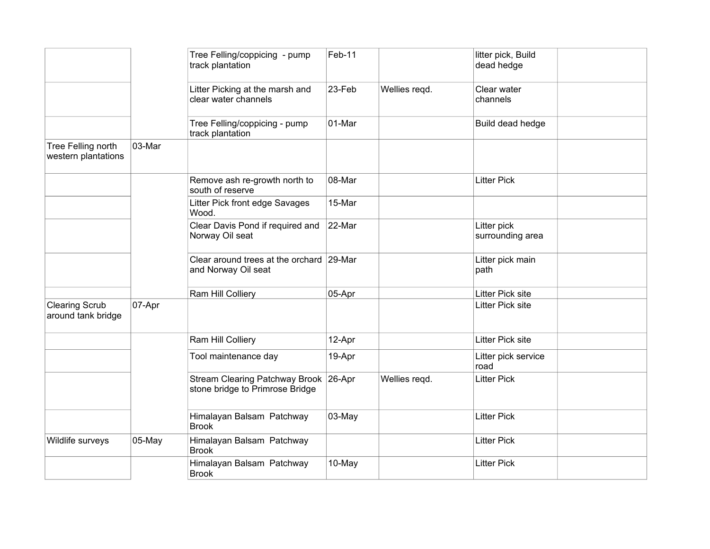|                                             |        | Tree Felling/coppicing - pump<br>track plantation                        | Feb-11 |               | litter pick, Build<br>dead hedge |  |
|---------------------------------------------|--------|--------------------------------------------------------------------------|--------|---------------|----------------------------------|--|
|                                             |        | Litter Picking at the marsh and<br>clear water channels                  | 23-Feb | Wellies regd. | Clear water<br>channels          |  |
|                                             |        | Tree Felling/coppicing - pump<br>track plantation                        | 01-Mar |               | Build dead hedge                 |  |
| Tree Felling north<br>western plantations   | 03-Mar |                                                                          |        |               |                                  |  |
|                                             |        | Remove ash re-growth north to<br>south of reserve                        | 08-Mar |               | <b>Litter Pick</b>               |  |
|                                             |        | Litter Pick front edge Savages<br>Wood.                                  | 15-Mar |               |                                  |  |
|                                             |        | Clear Davis Pond if required and<br>Norway Oil seat                      | 22-Mar |               | Litter pick<br>surrounding area  |  |
|                                             |        | Clear around trees at the orchard 29-Mar<br>and Norway Oil seat          |        |               | Litter pick main<br>path         |  |
|                                             |        | Ram Hill Colliery                                                        | 05-Apr |               | Litter Pick site                 |  |
| <b>Clearing Scrub</b><br>around tank bridge | 07-Apr |                                                                          |        |               | <b>Litter Pick site</b>          |  |
|                                             |        | Ram Hill Colliery                                                        | 12-Apr |               | <b>Litter Pick site</b>          |  |
|                                             |        | Tool maintenance day                                                     | 19-Apr |               | Litter pick service<br>road      |  |
|                                             |        | Stream Clearing Patchway Brook 26-Apr<br>stone bridge to Primrose Bridge |        | Wellies regd. | <b>Litter Pick</b>               |  |
|                                             |        | Himalayan Balsam Patchway<br><b>Brook</b>                                | 03-May |               | <b>Litter Pick</b>               |  |
| Wildlife surveys                            | 05-May | Himalayan Balsam Patchway<br><b>Brook</b>                                |        |               | <b>Litter Pick</b>               |  |
|                                             |        | Himalayan Balsam Patchway<br><b>Brook</b>                                | 10-May |               | <b>Litter Pick</b>               |  |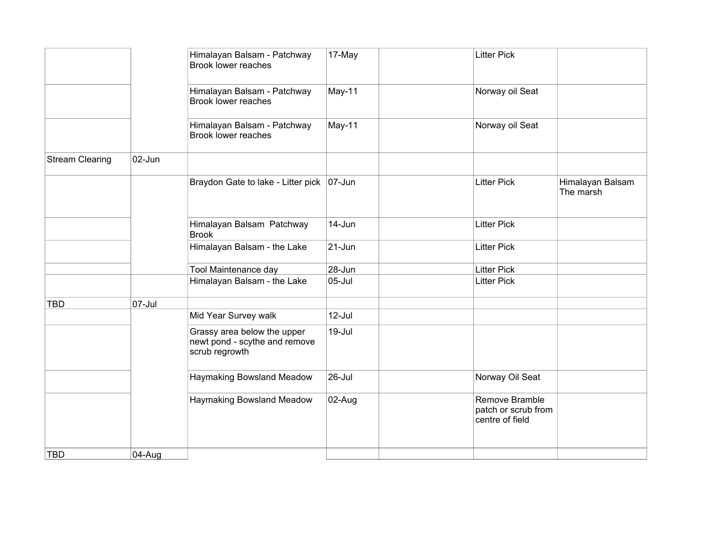|                        |        | Himalayan Balsam - Patchway<br>Brook lower reaches                             | 17-May     | <b>Litter Pick</b>                                       |                               |
|------------------------|--------|--------------------------------------------------------------------------------|------------|----------------------------------------------------------|-------------------------------|
|                        |        | Himalayan Balsam - Patchway<br>Brook lower reaches                             | May-11     | Norway oil Seat                                          |                               |
|                        |        | Himalayan Balsam - Patchway<br>Brook lower reaches                             | May-11     | Norway oil Seat                                          |                               |
| <b>Stream Clearing</b> | 02-Jun |                                                                                |            |                                                          |                               |
|                        |        | Braydon Gate to lake - Litter pick   07-Jun                                    |            | <b>Litter Pick</b>                                       | Himalayan Balsam<br>The marsh |
|                        |        | Himalayan Balsam Patchway<br><b>Brook</b>                                      | 14-Jun     | <b>Litter Pick</b>                                       |                               |
|                        |        | Himalayan Balsam - the Lake                                                    | $21 - Jun$ | <b>Litter Pick</b>                                       |                               |
|                        |        | Tool Maintenance day                                                           | 28-Jun     | <b>Litter Pick</b>                                       |                               |
|                        |        | Himalayan Balsam - the Lake                                                    | $05$ -Jul  | <b>Litter Pick</b>                                       |                               |
| <b>TBD</b>             | 07-Jul |                                                                                |            |                                                          |                               |
|                        |        | Mid Year Survey walk                                                           | 12-Jul     |                                                          |                               |
|                        |        | Grassy area below the upper<br>newt pond - scythe and remove<br>scrub regrowth | 19-Jul     |                                                          |                               |
|                        |        | Haymaking Bowsland Meadow                                                      | 26-Jul     | Norway Oil Seat                                          |                               |
|                        |        | Haymaking Bowsland Meadow                                                      | 02-Aug     | Remove Bramble<br>patch or scrub from<br>centre of field |                               |
| <b>TBD</b>             | 04-Aug |                                                                                |            |                                                          |                               |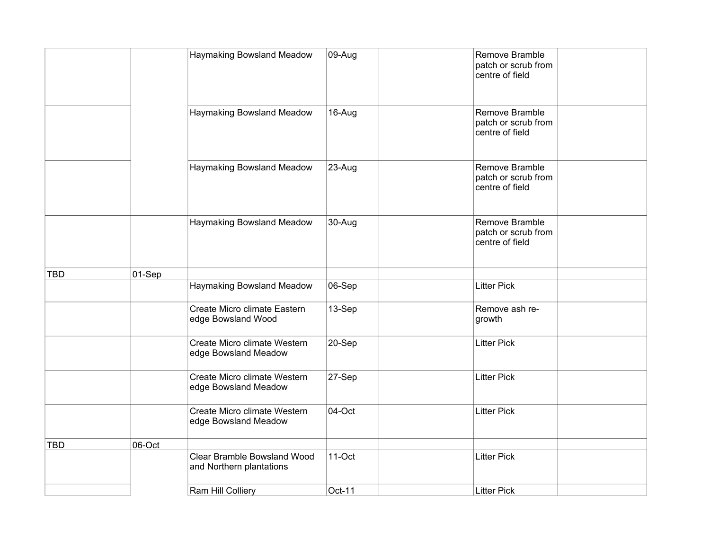|            |        | Haymaking Bowsland Meadow                               | 09-Aug | Remove Bramble<br>patch or scrub from<br>centre of field |
|------------|--------|---------------------------------------------------------|--------|----------------------------------------------------------|
|            |        | Haymaking Bowsland Meadow                               | 16-Aug | Remove Bramble<br>patch or scrub from<br>centre of field |
|            |        | Haymaking Bowsland Meadow                               | 23-Aug | Remove Bramble<br>patch or scrub from<br>centre of field |
|            |        | Haymaking Bowsland Meadow                               | 30-Aug | Remove Bramble<br>patch or scrub from<br>centre of field |
| <b>TBD</b> | 01-Sep |                                                         |        |                                                          |
|            |        | Haymaking Bowsland Meadow                               | 06-Sep | <b>Litter Pick</b>                                       |
|            |        | Create Micro climate Eastern<br>edge Bowsland Wood      | 13-Sep | Remove ash re-<br>growth                                 |
|            |        | Create Micro climate Western<br>edge Bowsland Meadow    | 20-Sep | <b>Litter Pick</b>                                       |
|            |        | Create Micro climate Western<br>edge Bowsland Meadow    | 27-Sep | <b>Litter Pick</b>                                       |
|            |        | Create Micro climate Western<br>edge Bowsland Meadow    | 04-Oct | <b>Litter Pick</b>                                       |
| <b>TBD</b> | 06-Oct |                                                         |        |                                                          |
|            |        | Clear Bramble Bowsland Wood<br>and Northern plantations | 11-Oct | <b>Litter Pick</b>                                       |
|            |        | Ram Hill Colliery                                       | Oct-11 | <b>Litter Pick</b>                                       |